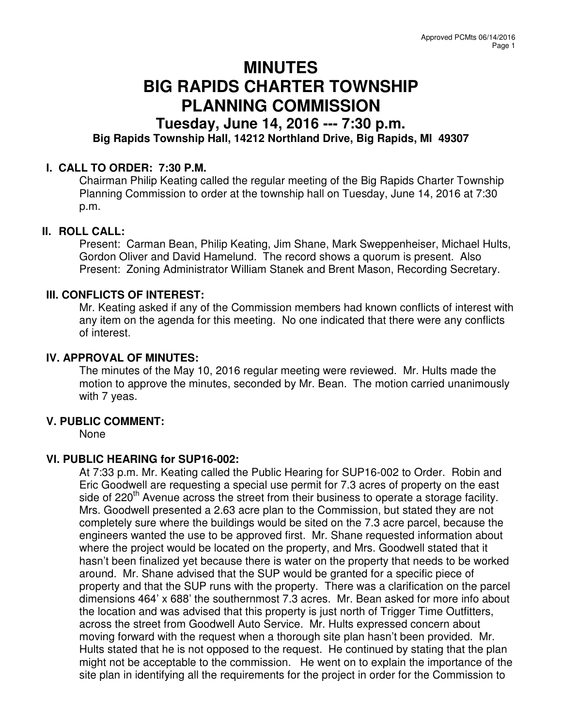# **MINUTES BIG RAPIDS CHARTER TOWNSHIP PLANNING COMMISSION**

# **Tuesday, June 14, 2016 --- 7:30 p.m. Big Rapids Township Hall, 14212 Northland Drive, Big Rapids, MI 49307**

# **I. CALL TO ORDER: 7:30 P.M.**

Chairman Philip Keating called the regular meeting of the Big Rapids Charter Township Planning Commission to order at the township hall on Tuesday, June 14, 2016 at 7:30 p.m.

### **II. ROLL CALL:**

Present: Carman Bean, Philip Keating, Jim Shane, Mark Sweppenheiser, Michael Hults, Gordon Oliver and David Hamelund. The record shows a quorum is present. Also Present: Zoning Administrator William Stanek and Brent Mason, Recording Secretary.

### **III. CONFLICTS OF INTEREST:**

Mr. Keating asked if any of the Commission members had known conflicts of interest with any item on the agenda for this meeting. No one indicated that there were any conflicts of interest.

### **IV. APPROVAL OF MINUTES:**

The minutes of the May 10, 2016 regular meeting were reviewed. Mr. Hults made the motion to approve the minutes, seconded by Mr. Bean. The motion carried unanimously with 7 yeas.

### **V. PUBLIC COMMENT:**

None

### **VI. PUBLIC HEARING for SUP16-002:**

At 7:33 p.m. Mr. Keating called the Public Hearing for SUP16-002 to Order. Robin and Eric Goodwell are requesting a special use permit for 7.3 acres of property on the east side of 220<sup>th</sup> Avenue across the street from their business to operate a storage facility. Mrs. Goodwell presented a 2.63 acre plan to the Commission, but stated they are not completely sure where the buildings would be sited on the 7.3 acre parcel, because the engineers wanted the use to be approved first. Mr. Shane requested information about where the project would be located on the property, and Mrs. Goodwell stated that it hasn't been finalized yet because there is water on the property that needs to be worked around. Mr. Shane advised that the SUP would be granted for a specific piece of property and that the SUP runs with the property. There was a clarification on the parcel dimensions 464' x 688' the southernmost 7.3 acres. Mr. Bean asked for more info about the location and was advised that this property is just north of Trigger Time Outfitters, across the street from Goodwell Auto Service. Mr. Hults expressed concern about moving forward with the request when a thorough site plan hasn't been provided. Mr. Hults stated that he is not opposed to the request. He continued by stating that the plan might not be acceptable to the commission. He went on to explain the importance of the site plan in identifying all the requirements for the project in order for the Commission to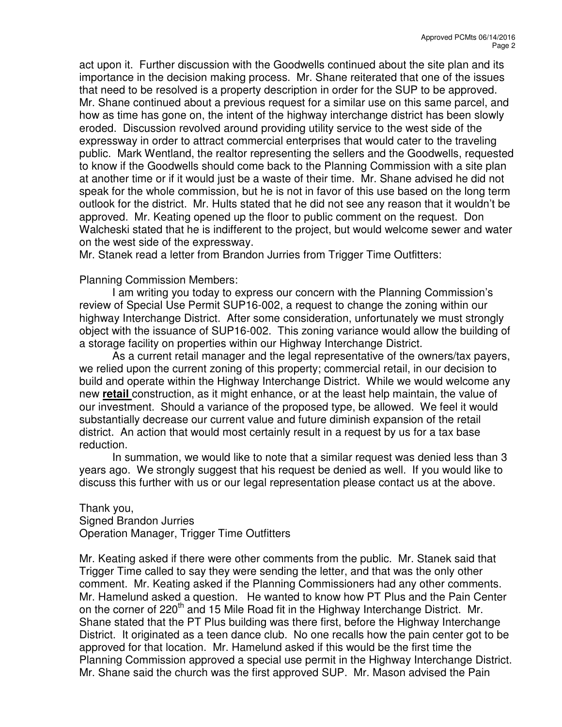act upon it. Further discussion with the Goodwells continued about the site plan and its importance in the decision making process. Mr. Shane reiterated that one of the issues that need to be resolved is a property description in order for the SUP to be approved. Mr. Shane continued about a previous request for a similar use on this same parcel, and how as time has gone on, the intent of the highway interchange district has been slowly eroded. Discussion revolved around providing utility service to the west side of the expressway in order to attract commercial enterprises that would cater to the traveling public. Mark Wentland, the realtor representing the sellers and the Goodwells, requested to know if the Goodwells should come back to the Planning Commission with a site plan at another time or if it would just be a waste of their time. Mr. Shane advised he did not speak for the whole commission, but he is not in favor of this use based on the long term outlook for the district. Mr. Hults stated that he did not see any reason that it wouldn't be approved. Mr. Keating opened up the floor to public comment on the request. Don Walcheski stated that he is indifferent to the project, but would welcome sewer and water on the west side of the expressway.

Mr. Stanek read a letter from Brandon Jurries from Trigger Time Outfitters:

### Planning Commission Members:

I am writing you today to express our concern with the Planning Commission's review of Special Use Permit SUP16-002, a request to change the zoning within our highway Interchange District. After some consideration, unfortunately we must strongly object with the issuance of SUP16-002. This zoning variance would allow the building of a storage facility on properties within our Highway Interchange District.

As a current retail manager and the legal representative of the owners/tax payers, we relied upon the current zoning of this property; commercial retail, in our decision to build and operate within the Highway Interchange District. While we would welcome any new **retail** construction, as it might enhance, or at the least help maintain, the value of our investment. Should a variance of the proposed type, be allowed. We feel it would substantially decrease our current value and future diminish expansion of the retail district. An action that would most certainly result in a request by us for a tax base reduction.

In summation, we would like to note that a similar request was denied less than 3 years ago. We strongly suggest that his request be denied as well. If you would like to discuss this further with us or our legal representation please contact us at the above.

#### Thank you, Signed Brandon Jurries Operation Manager, Trigger Time Outfitters

Mr. Keating asked if there were other comments from the public. Mr. Stanek said that Trigger Time called to say they were sending the letter, and that was the only other comment. Mr. Keating asked if the Planning Commissioners had any other comments. Mr. Hamelund asked a question. He wanted to know how PT Plus and the Pain Center on the corner of 220<sup>th</sup> and 15 Mile Road fit in the Highway Interchange District. Mr. Shane stated that the PT Plus building was there first, before the Highway Interchange District. It originated as a teen dance club. No one recalls how the pain center got to be approved for that location. Mr. Hamelund asked if this would be the first time the Planning Commission approved a special use permit in the Highway Interchange District. Mr. Shane said the church was the first approved SUP. Mr. Mason advised the Pain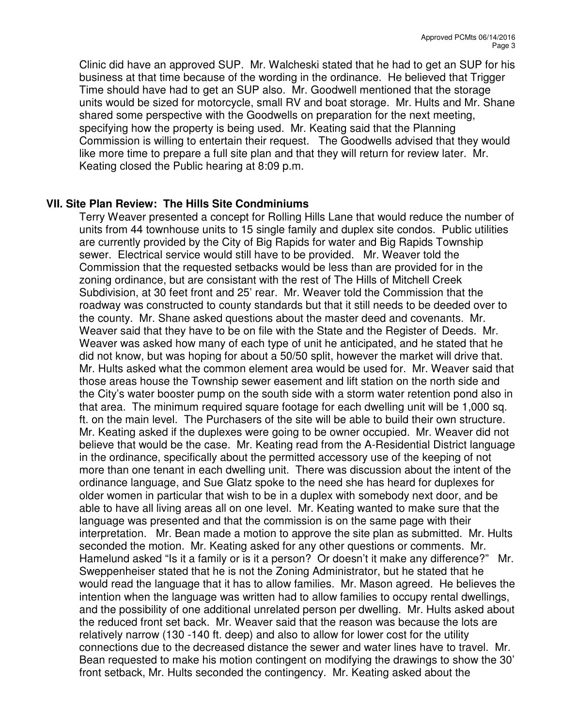Clinic did have an approved SUP. Mr. Walcheski stated that he had to get an SUP for his business at that time because of the wording in the ordinance. He believed that Trigger Time should have had to get an SUP also. Mr. Goodwell mentioned that the storage units would be sized for motorcycle, small RV and boat storage. Mr. Hults and Mr. Shane shared some perspective with the Goodwells on preparation for the next meeting, specifying how the property is being used. Mr. Keating said that the Planning Commission is willing to entertain their request. The Goodwells advised that they would like more time to prepare a full site plan and that they will return for review later. Mr. Keating closed the Public hearing at 8:09 p.m.

# **VII. Site Plan Review: The Hills Site Condminiums**

Terry Weaver presented a concept for Rolling Hills Lane that would reduce the number of units from 44 townhouse units to 15 single family and duplex site condos. Public utilities are currently provided by the City of Big Rapids for water and Big Rapids Township sewer. Electrical service would still have to be provided. Mr. Weaver told the Commission that the requested setbacks would be less than are provided for in the zoning ordinance, but are consistant with the rest of The Hills of Mitchell Creek Subdivision, at 30 feet front and 25' rear. Mr. Weaver told the Commission that the roadway was constructed to county standards but that it still needs to be deeded over to the county. Mr. Shane asked questions about the master deed and covenants. Mr. Weaver said that they have to be on file with the State and the Register of Deeds. Mr. Weaver was asked how many of each type of unit he anticipated, and he stated that he did not know, but was hoping for about a 50/50 split, however the market will drive that. Mr. Hults asked what the common element area would be used for. Mr. Weaver said that those areas house the Township sewer easement and lift station on the north side and the City's water booster pump on the south side with a storm water retention pond also in that area. The minimum required square footage for each dwelling unit will be 1,000 sq. ft. on the main level. The Purchasers of the site will be able to build their own structure. Mr. Keating asked if the duplexes were going to be owner occupied. Mr. Weaver did not believe that would be the case. Mr. Keating read from the A-Residential District language in the ordinance, specifically about the permitted accessory use of the keeping of not more than one tenant in each dwelling unit. There was discussion about the intent of the ordinance language, and Sue Glatz spoke to the need she has heard for duplexes for older women in particular that wish to be in a duplex with somebody next door, and be able to have all living areas all on one level. Mr. Keating wanted to make sure that the language was presented and that the commission is on the same page with their interpretation. Mr. Bean made a motion to approve the site plan as submitted. Mr. Hults seconded the motion. Mr. Keating asked for any other questions or comments. Mr. Hamelund asked "Is it a family or is it a person? Or doesn't it make any difference?" Mr. Sweppenheiser stated that he is not the Zoning Administrator, but he stated that he would read the language that it has to allow families. Mr. Mason agreed. He believes the intention when the language was written had to allow families to occupy rental dwellings, and the possibility of one additional unrelated person per dwelling. Mr. Hults asked about the reduced front set back. Mr. Weaver said that the reason was because the lots are relatively narrow (130 -140 ft. deep) and also to allow for lower cost for the utility connections due to the decreased distance the sewer and water lines have to travel. Mr. Bean requested to make his motion contingent on modifying the drawings to show the 30' front setback, Mr. Hults seconded the contingency. Mr. Keating asked about the